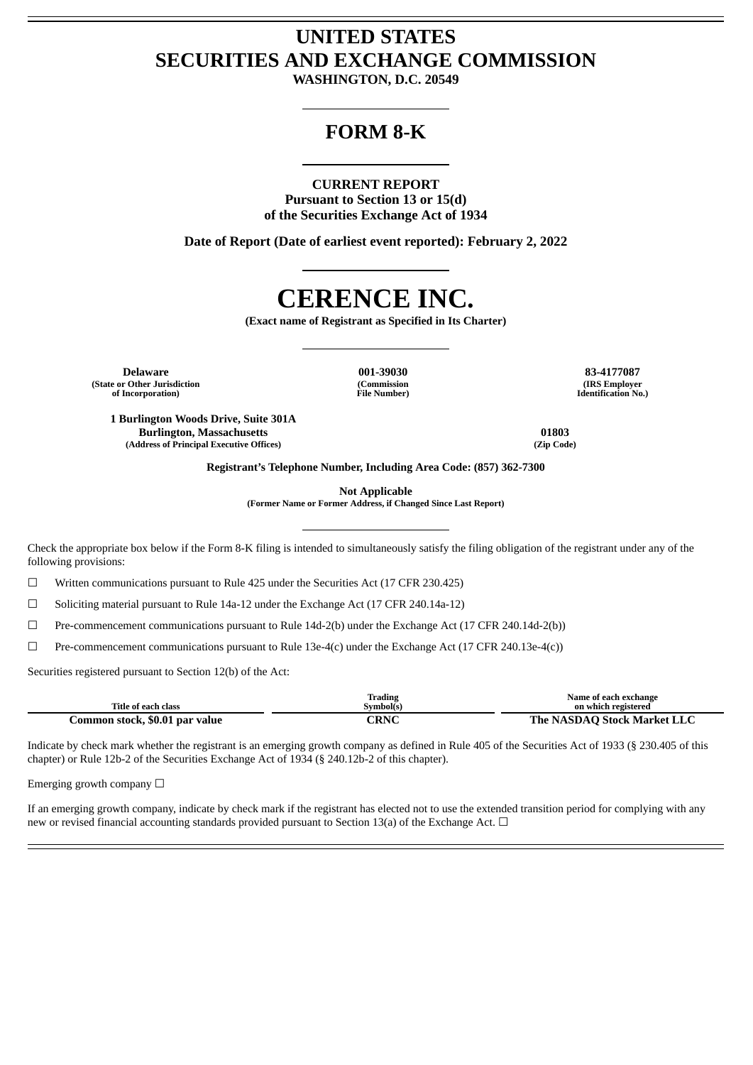## **UNITED STATES SECURITIES AND EXCHANGE COMMISSION**

**WASHINGTON, D.C. 20549**

### **FORM 8-K**

### **CURRENT REPORT**

**Pursuant to Section 13 or 15(d) of the Securities Exchange Act of 1934**

**Date of Report (Date of earliest event reported): February 2, 2022**

# **CERENCE INC.**

**(Exact name of Registrant as Specified in Its Charter)**

**Delaware 001-39030 83-4177087 (State or Other Jurisdiction of Incorporation)**

**1 Burlington Woods Drive, Suite 301A**

**(Commission File Number)**

**(IRS Employer Identification No.)**

**Burlington, Massachusetts 01803 (Address of Principal Executive Offices) (Zip Code)**

**Registrant's Telephone Number, Including Area Code: (857) 362-7300**

**Not Applicable**

**(Former Name or Former Address, if Changed Since Last Report)**

Check the appropriate box below if the Form 8-K filing is intended to simultaneously satisfy the filing obligation of the registrant under any of the following provisions:

☐ Written communications pursuant to Rule 425 under the Securities Act (17 CFR 230.425)

 $\Box$  Soliciting material pursuant to Rule 14a-12 under the Exchange Act (17 CFR 240.14a-12)

☐ Pre-commencement communications pursuant to Rule 14d-2(b) under the Exchange Act (17 CFR 240.14d-2(b))

☐ Pre-commencement communications pursuant to Rule 13e-4(c) under the Exchange Act (17 CFR 240.13e-4(c))

Securities registered pursuant to Section 12(b) of the Act:

|                                | Trading   | Name of each exchange       |
|--------------------------------|-----------|-----------------------------|
| Title of each class            | Svmbol(s) | on which registered         |
| Common stock, \$0.01 par value | CRNC      | The NASDAO Stock Market LLC |

Indicate by check mark whether the registrant is an emerging growth company as defined in Rule 405 of the Securities Act of 1933 (§ 230.405 of this chapter) or Rule 12b-2 of the Securities Exchange Act of 1934 (§ 240.12b-2 of this chapter).

Emerging growth company  $\Box$ 

If an emerging growth company, indicate by check mark if the registrant has elected not to use the extended transition period for complying with any new or revised financial accounting standards provided pursuant to Section 13(a) of the Exchange Act. □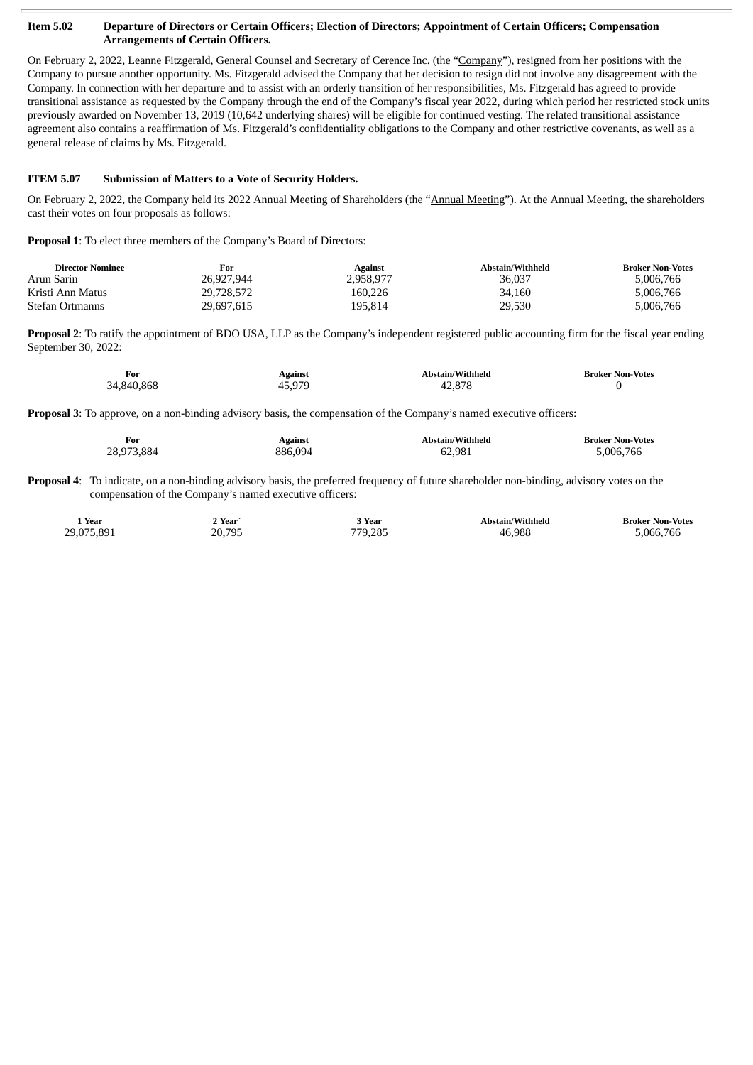#### Item 5.02 Departure of Directors or Certain Officers; Election of Directors; Appointment of Certain Officers; Compensation **Arrangements of Certain Officers.**

On February 2, 2022, Leanne Fitzgerald, General Counsel and Secretary of Cerence Inc. (the "Company"), resigned from her positions with the Company to pursue another opportunity. Ms. Fitzgerald advised the Company that her decision to resign did not involve any disagreement with the Company. In connection with her departure and to assist with an orderly transition of her responsibilities, Ms. Fitzgerald has agreed to provide transitional assistance as requested by the Company through the end of the Company's fiscal year 2022, during which period her restricted stock units previously awarded on November 13, 2019 (10,642 underlying shares) will be eligible for continued vesting. The related transitional assistance agreement also contains a reaffirmation of Ms. Fitzgerald's confidentiality obligations to the Company and other restrictive covenants, as well as a general release of claims by Ms. Fitzgerald.

### **ITEM 5.07 Submission of Matters to a Vote of Security Holders.**

On February 2, 2022, the Company held its 2022 Annual Meeting of Shareholders (the "Annual Meeting"). At the Annual Meeting, the shareholders cast their votes on four proposals as follows:

**Proposal 1**: To elect three members of the Company's Board of Directors:

| <b>Director Nominee</b> | For        | Against   | Abstain/Withheld | <b>Broker Non-Votes</b> |
|-------------------------|------------|-----------|------------------|-------------------------|
| Arun Sarin              | 26.927.944 | 2.958.977 | 36,037           | 5,006,766               |
| Kristi Ann Matus        | 29,728,572 | 160.226   | 34.160           | 5.006.766               |
| <b>Stefan Ortmanns</b>  | 29,697,615 | 195.814   | 29,530           | 5,006,766               |

**Proposal 2**: To ratify the appointment of BDO USA, LLP as the Company's independent registered public accounting firm for the fiscal year ending September 30, 2022:

| For        | Against | Abstain/Withheld | <b>Broker Non-Votes</b> |
|------------|---------|------------------|-------------------------|
| 34,840,868 | 45.979  | 42.878           |                         |

**Proposal 3**: To approve, on a non-binding advisory basis, the compensation of the Company's named executive officers:

| For        | <b>Against</b> | Abstain/Withheld | <b>Broker Non-Votes</b> |
|------------|----------------|------------------|-------------------------|
| 28,973,884 | 886.094        | 62.981           | 5,006,766               |

**Proposal 4**: To indicate, on a non-binding advisory basis, the preferred frequency of future shareholder non-binding, advisory votes on the compensation of the Company's named executive officers:

| Year<br>$ -$ | 2 Year<br>$\sim$ $\sim$ | Year    | <b>Abstain/Withheld</b><br>__<br>. | Broker Non-Votes |
|--------------|-------------------------|---------|------------------------------------|------------------|
| 29.075.891   | 20.795<br>ںر            | 770 785 | 6.988<br>4F<br>- - -               | 5.066.766        |